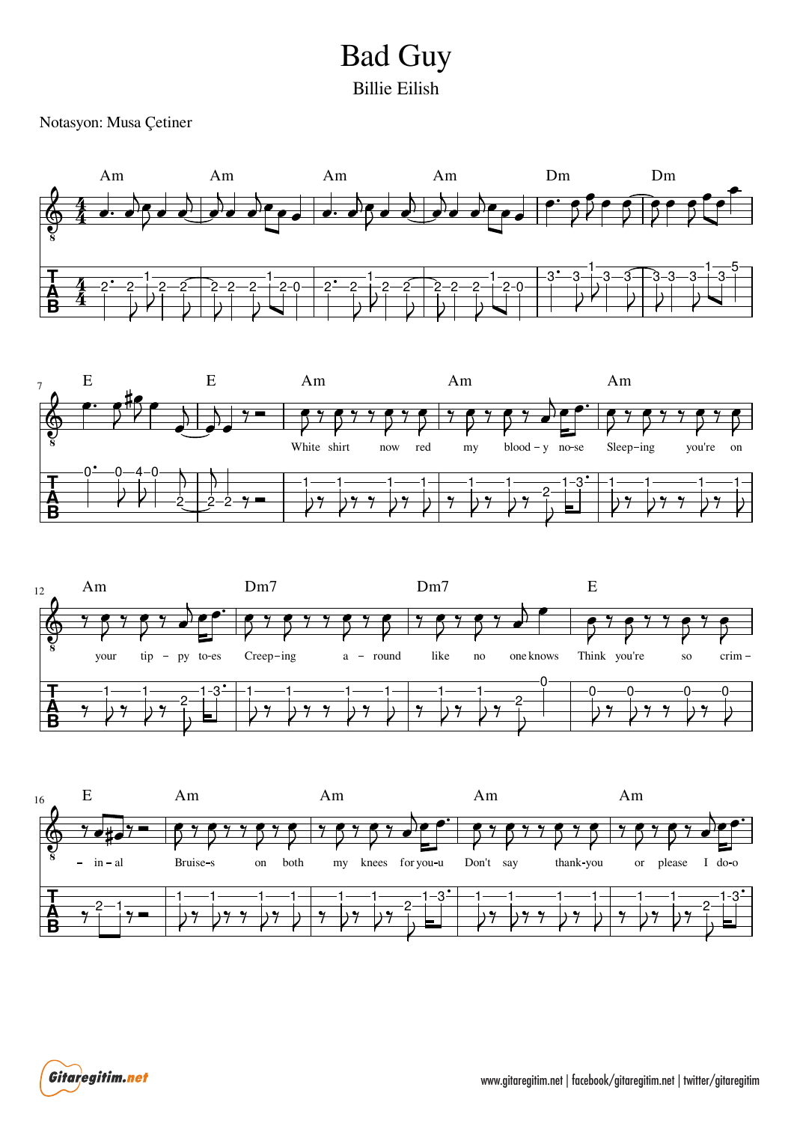## Billie Eilish Bad Guy

Notasyon: Musa Çetiner









Gitaregitim.net